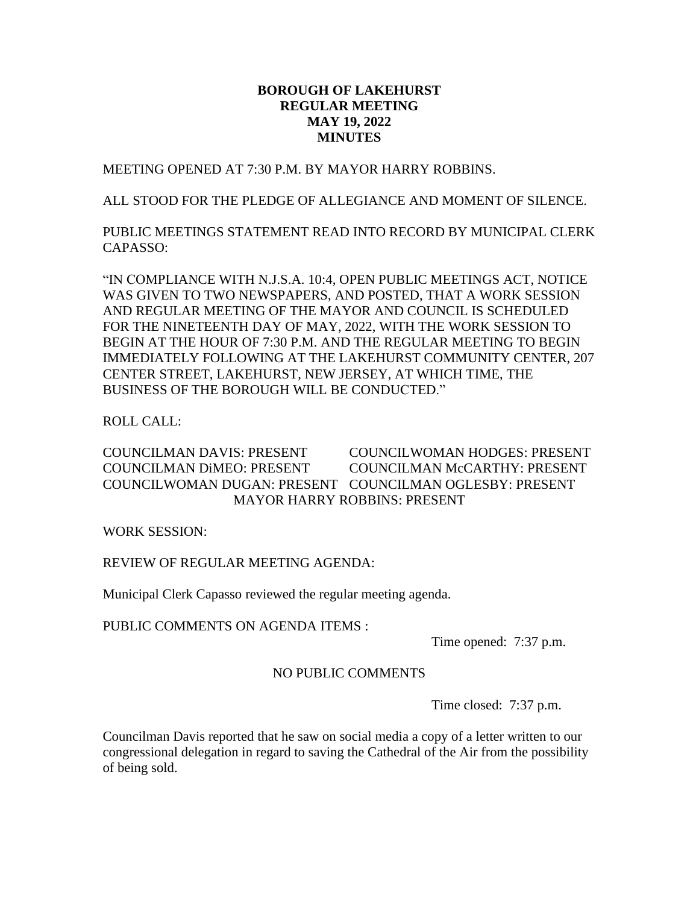## **BOROUGH OF LAKEHURST REGULAR MEETING MAY 19, 2022 MINUTES**

MEETING OPENED AT 7:30 P.M. BY MAYOR HARRY ROBBINS.

ALL STOOD FOR THE PLEDGE OF ALLEGIANCE AND MOMENT OF SILENCE.

PUBLIC MEETINGS STATEMENT READ INTO RECORD BY MUNICIPAL CLERK CAPASSO:

"IN COMPLIANCE WITH N.J.S.A. 10:4, OPEN PUBLIC MEETINGS ACT, NOTICE WAS GIVEN TO TWO NEWSPAPERS, AND POSTED, THAT A WORK SESSION AND REGULAR MEETING OF THE MAYOR AND COUNCIL IS SCHEDULED FOR THE NINETEENTH DAY OF MAY, 2022, WITH THE WORK SESSION TO BEGIN AT THE HOUR OF 7:30 P.M. AND THE REGULAR MEETING TO BEGIN IMMEDIATELY FOLLOWING AT THE LAKEHURST COMMUNITY CENTER, 207 CENTER STREET, LAKEHURST, NEW JERSEY, AT WHICH TIME, THE BUSINESS OF THE BOROUGH WILL BE CONDUCTED."

ROLL CALL:

COUNCILMAN DAVIS: PRESENT COUNCILWOMAN HODGES: PRESENT COUNCILMAN DiMEO: PRESENT COUNCILMAN McCARTHY: PRESENT COUNCILWOMAN DUGAN: PRESENT COUNCILMAN OGLESBY: PRESENT MAYOR HARRY ROBBINS: PRESENT

WORK SESSION:

REVIEW OF REGULAR MEETING AGENDA:

Municipal Clerk Capasso reviewed the regular meeting agenda.

PUBLIC COMMENTS ON AGENDA ITEMS :

Time opened: 7:37 p.m.

# NO PUBLIC COMMENTS

Time closed: 7:37 p.m.

Councilman Davis reported that he saw on social media a copy of a letter written to our congressional delegation in regard to saving the Cathedral of the Air from the possibility of being sold.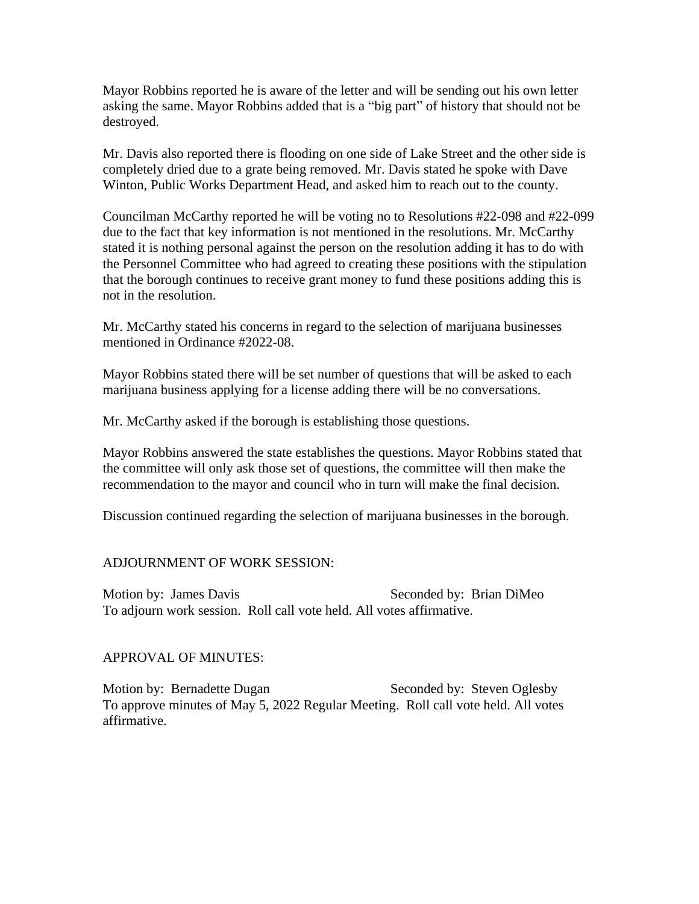Mayor Robbins reported he is aware of the letter and will be sending out his own letter asking the same. Mayor Robbins added that is a "big part" of history that should not be destroyed.

Mr. Davis also reported there is flooding on one side of Lake Street and the other side is completely dried due to a grate being removed. Mr. Davis stated he spoke with Dave Winton, Public Works Department Head, and asked him to reach out to the county.

Councilman McCarthy reported he will be voting no to Resolutions #22-098 and #22-099 due to the fact that key information is not mentioned in the resolutions. Mr. McCarthy stated it is nothing personal against the person on the resolution adding it has to do with the Personnel Committee who had agreed to creating these positions with the stipulation that the borough continues to receive grant money to fund these positions adding this is not in the resolution.

Mr. McCarthy stated his concerns in regard to the selection of marijuana businesses mentioned in Ordinance #2022-08.

Mayor Robbins stated there will be set number of questions that will be asked to each marijuana business applying for a license adding there will be no conversations.

Mr. McCarthy asked if the borough is establishing those questions.

Mayor Robbins answered the state establishes the questions. Mayor Robbins stated that the committee will only ask those set of questions, the committee will then make the recommendation to the mayor and council who in turn will make the final decision.

Discussion continued regarding the selection of marijuana businesses in the borough.

ADJOURNMENT OF WORK SESSION:

Motion by: James Davis Seconded by: Brian DiMeo To adjourn work session. Roll call vote held. All votes affirmative.

APPROVAL OF MINUTES:

Motion by: Bernadette Dugan Seconded by: Steven Oglesby To approve minutes of May 5, 2022 Regular Meeting. Roll call vote held. All votes affirmative.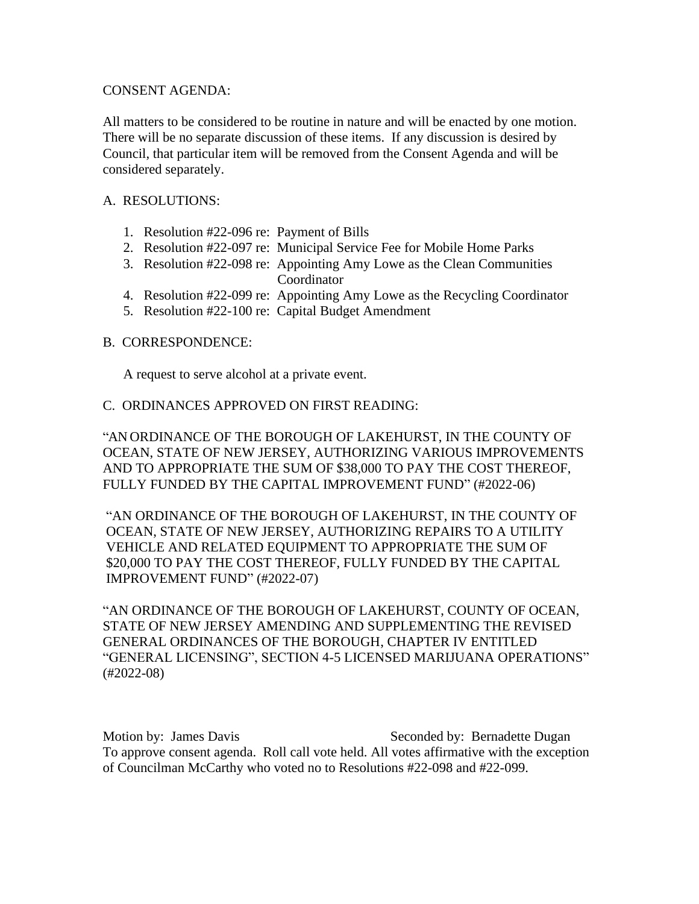### CONSENT AGENDA:

All matters to be considered to be routine in nature and will be enacted by one motion. There will be no separate discussion of these items. If any discussion is desired by Council, that particular item will be removed from the Consent Agenda and will be considered separately.

### A. RESOLUTIONS:

- 1. Resolution #22-096 re: Payment of Bills
- 2. Resolution #22-097 re: Municipal Service Fee for Mobile Home Parks
- 3. Resolution #22-098 re: Appointing Amy Lowe as the Clean Communities Coordinator
- 4. Resolution #22-099 re: Appointing Amy Lowe as the Recycling Coordinator
- 5. Resolution #22-100 re: Capital Budget Amendment

#### B. CORRESPONDENCE:

A request to serve alcohol at a private event.

#### C. ORDINANCES APPROVED ON FIRST READING:

"AN ORDINANCE OF THE BOROUGH OF LAKEHURST, IN THE COUNTY OF OCEAN, STATE OF NEW JERSEY, AUTHORIZING VARIOUS IMPROVEMENTS AND TO APPROPRIATE THE SUM OF \$38,000 TO PAY THE COST THEREOF, FULLY FUNDED BY THE CAPITAL IMPROVEMENT FUND" (#2022-06)

"AN ORDINANCE OF THE BOROUGH OF LAKEHURST, IN THE COUNTY OF OCEAN, STATE OF NEW JERSEY, AUTHORIZING REPAIRS TO A UTILITY VEHICLE AND RELATED EQUIPMENT TO APPROPRIATE THE SUM OF \$20,000 TO PAY THE COST THEREOF, FULLY FUNDED BY THE CAPITAL IMPROVEMENT FUND" (#2022-07)

"AN ORDINANCE OF THE BOROUGH OF LAKEHURST, COUNTY OF OCEAN, STATE OF NEW JERSEY AMENDING AND SUPPLEMENTING THE REVISED GENERAL ORDINANCES OF THE BOROUGH, CHAPTER IV ENTITLED "GENERAL LICENSING", SECTION 4-5 LICENSED MARIJUANA OPERATIONS" (#2022-08)

Motion by: James Davis The Seconded by: Bernadette Dugan To approve consent agenda. Roll call vote held. All votes affirmative with the exception of Councilman McCarthy who voted no to Resolutions #22-098 and #22-099.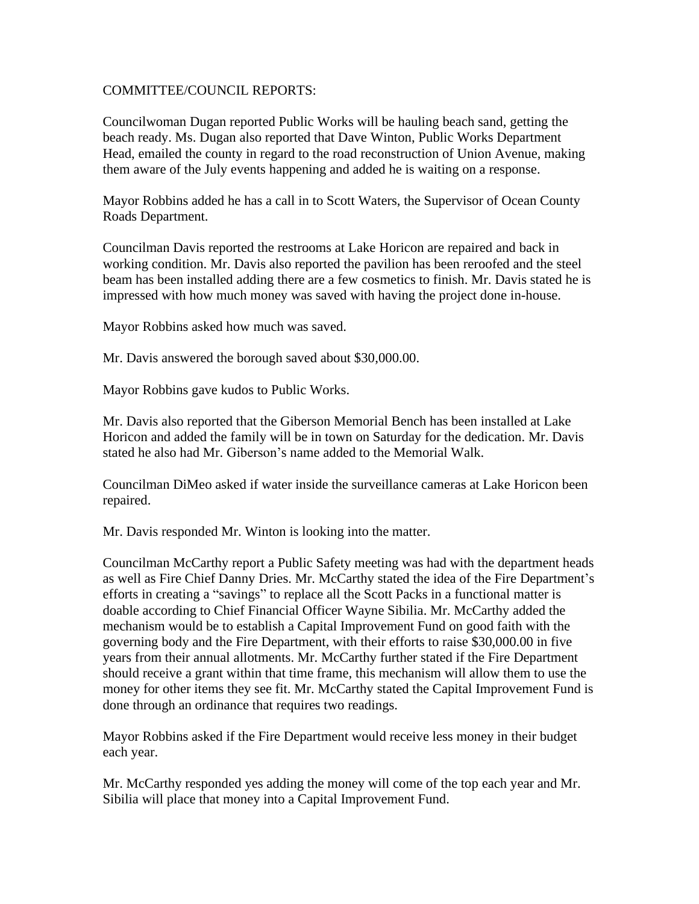## COMMITTEE/COUNCIL REPORTS:

Councilwoman Dugan reported Public Works will be hauling beach sand, getting the beach ready. Ms. Dugan also reported that Dave Winton, Public Works Department Head, emailed the county in regard to the road reconstruction of Union Avenue, making them aware of the July events happening and added he is waiting on a response.

Mayor Robbins added he has a call in to Scott Waters, the Supervisor of Ocean County Roads Department.

Councilman Davis reported the restrooms at Lake Horicon are repaired and back in working condition. Mr. Davis also reported the pavilion has been reroofed and the steel beam has been installed adding there are a few cosmetics to finish. Mr. Davis stated he is impressed with how much money was saved with having the project done in-house.

Mayor Robbins asked how much was saved.

Mr. Davis answered the borough saved about \$30,000.00.

Mayor Robbins gave kudos to Public Works.

Mr. Davis also reported that the Giberson Memorial Bench has been installed at Lake Horicon and added the family will be in town on Saturday for the dedication. Mr. Davis stated he also had Mr. Giberson's name added to the Memorial Walk.

Councilman DiMeo asked if water inside the surveillance cameras at Lake Horicon been repaired.

Mr. Davis responded Mr. Winton is looking into the matter.

Councilman McCarthy report a Public Safety meeting was had with the department heads as well as Fire Chief Danny Dries. Mr. McCarthy stated the idea of the Fire Department's efforts in creating a "savings" to replace all the Scott Packs in a functional matter is doable according to Chief Financial Officer Wayne Sibilia. Mr. McCarthy added the mechanism would be to establish a Capital Improvement Fund on good faith with the governing body and the Fire Department, with their efforts to raise \$30,000.00 in five years from their annual allotments. Mr. McCarthy further stated if the Fire Department should receive a grant within that time frame, this mechanism will allow them to use the money for other items they see fit. Mr. McCarthy stated the Capital Improvement Fund is done through an ordinance that requires two readings.

Mayor Robbins asked if the Fire Department would receive less money in their budget each year.

Mr. McCarthy responded yes adding the money will come of the top each year and Mr. Sibilia will place that money into a Capital Improvement Fund.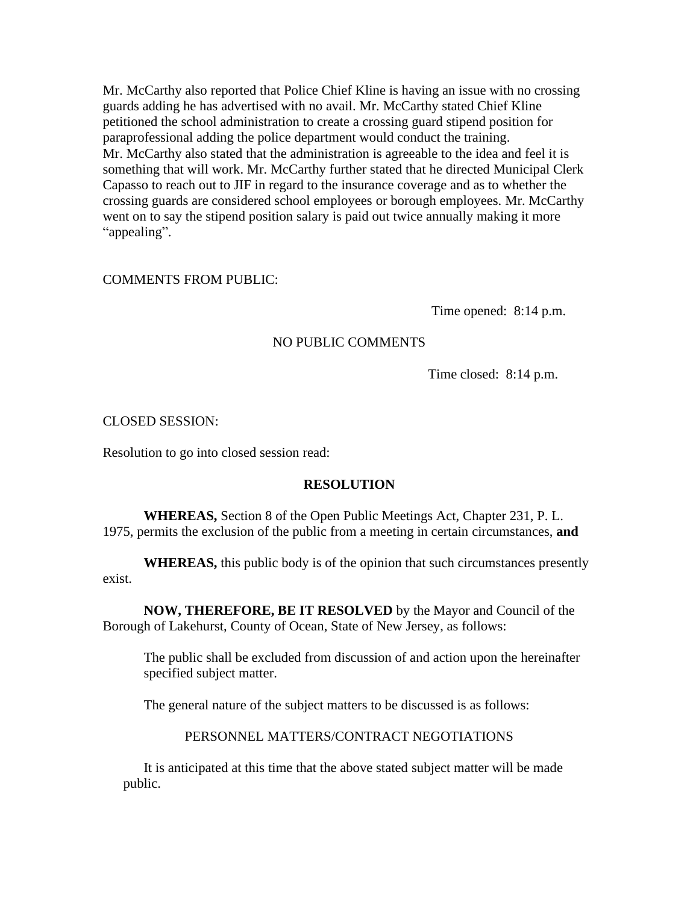Mr. McCarthy also reported that Police Chief Kline is having an issue with no crossing guards adding he has advertised with no avail. Mr. McCarthy stated Chief Kline petitioned the school administration to create a crossing guard stipend position for paraprofessional adding the police department would conduct the training. Mr. McCarthy also stated that the administration is agreeable to the idea and feel it is something that will work. Mr. McCarthy further stated that he directed Municipal Clerk Capasso to reach out to JIF in regard to the insurance coverage and as to whether the crossing guards are considered school employees or borough employees. Mr. McCarthy went on to say the stipend position salary is paid out twice annually making it more "appealing".

#### COMMENTS FROM PUBLIC:

Time opened: 8:14 p.m.

#### NO PUBLIC COMMENTS

Time closed: 8:14 p.m.

CLOSED SESSION:

Resolution to go into closed session read:

#### **RESOLUTION**

**WHEREAS,** Section 8 of the Open Public Meetings Act, Chapter 231, P. L. 1975, permits the exclusion of the public from a meeting in certain circumstances, **and**

**WHEREAS,** this public body is of the opinion that such circumstances presently exist.

**NOW, THEREFORE, BE IT RESOLVED** by the Mayor and Council of the Borough of Lakehurst, County of Ocean, State of New Jersey, as follows:

The public shall be excluded from discussion of and action upon the hereinafter specified subject matter.

The general nature of the subject matters to be discussed is as follows:

## PERSONNEL MATTERS/CONTRACT NEGOTIATIONS

It is anticipated at this time that the above stated subject matter will be made public.